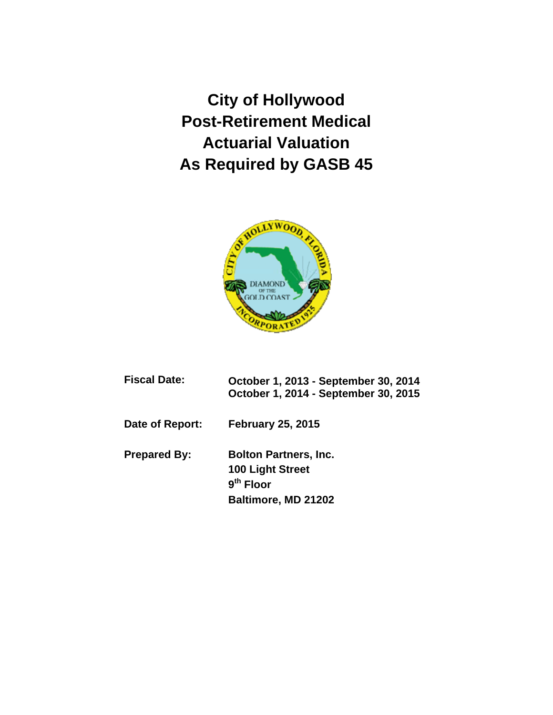**City of Hollywood Post-Retirement Medical Actuarial Valuation As Required by GASB 45** 



| <b>Fiscal Date:</b> | October 1, 2013 - September 30, 2014<br>October 1, 2014 - September 30, 2015           |
|---------------------|----------------------------------------------------------------------------------------|
| Date of Report:     | <b>February 25, 2015</b>                                                               |
| <b>Prepared By:</b> | <b>Bolton Partners, Inc.</b><br>100 Light Street<br>$9th$ Floor<br>Baltimore, MD 21202 |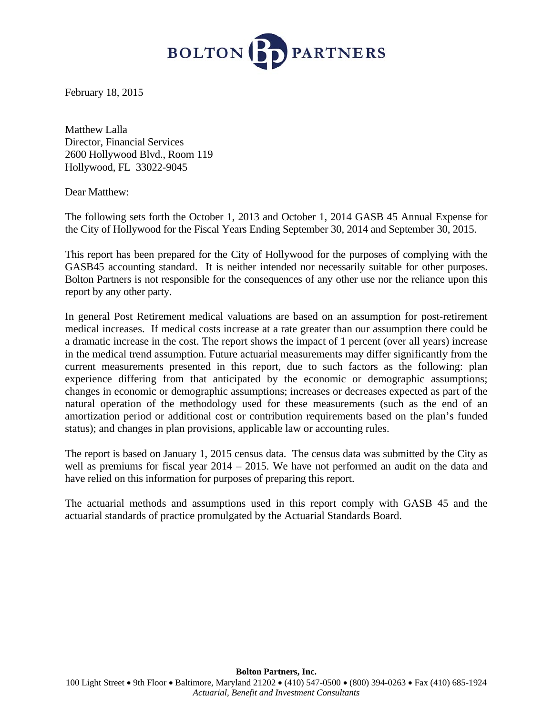

February 18, 2015

Matthew Lalla Director, Financial Services 2600 Hollywood Blvd., Room 119 Hollywood, FL 33022-9045

Dear Matthew:

The following sets forth the October 1, 2013 and October 1, 2014 GASB 45 Annual Expense for the City of Hollywood for the Fiscal Years Ending September 30, 2014 and September 30, 2015.

This report has been prepared for the City of Hollywood for the purposes of complying with the GASB45 accounting standard. It is neither intended nor necessarily suitable for other purposes. Bolton Partners is not responsible for the consequences of any other use nor the reliance upon this report by any other party.

In general Post Retirement medical valuations are based on an assumption for post-retirement medical increases. If medical costs increase at a rate greater than our assumption there could be a dramatic increase in the cost. The report shows the impact of 1 percent (over all years) increase in the medical trend assumption. Future actuarial measurements may differ significantly from the current measurements presented in this report, due to such factors as the following: plan experience differing from that anticipated by the economic or demographic assumptions; changes in economic or demographic assumptions; increases or decreases expected as part of the natural operation of the methodology used for these measurements (such as the end of an amortization period or additional cost or contribution requirements based on the plan's funded status); and changes in plan provisions, applicable law or accounting rules.

The report is based on January 1, 2015 census data. The census data was submitted by the City as well as premiums for fiscal year 2014 – 2015. We have not performed an audit on the data and have relied on this information for purposes of preparing this report.

The actuarial methods and assumptions used in this report comply with GASB 45 and the actuarial standards of practice promulgated by the Actuarial Standards Board.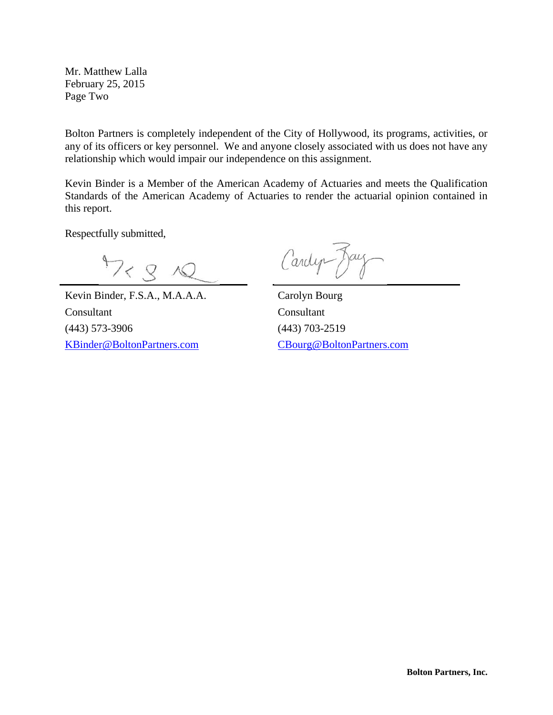Mr. Matthew Lalla February 25, 2015 Page Two

Bolton Partners is completely independent of the City of Hollywood, its programs, activities, or any of its officers or key personnel. We and anyone closely associated with us does not have any relationship which would impair our independence on this assignment.

Kevin Binder is a Member of the American Academy of Actuaries and meets the Qualification Standards of the American Academy of Actuaries to render the actuarial opinion contained in this report.

Respectfully submitted,

 $\overline{a}$ 

 $4728$ 

Kevin Binder, F.S.A., M.A.A.A. Carolyn Bourg Consultant Consultant (443) 573-3906 (443) 703-2519 KBinder@BoltonPartners.com CBourg@BoltonPartners.com

Cardyn Day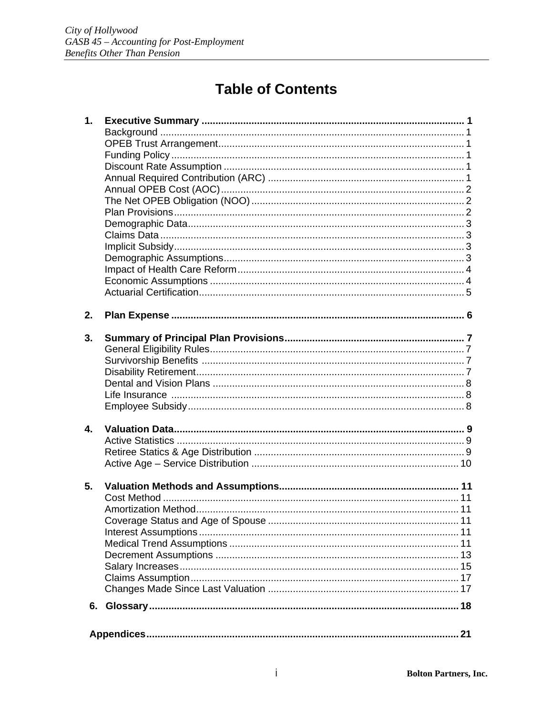# **Table of Contents**

| 1.             |    |  |
|----------------|----|--|
|                |    |  |
|                |    |  |
|                |    |  |
|                |    |  |
|                |    |  |
|                |    |  |
|                |    |  |
|                |    |  |
|                |    |  |
|                |    |  |
|                |    |  |
|                |    |  |
|                |    |  |
|                |    |  |
|                |    |  |
|                |    |  |
| 2.             |    |  |
|                |    |  |
| 3.             |    |  |
|                |    |  |
|                |    |  |
|                |    |  |
|                |    |  |
|                |    |  |
|                |    |  |
|                |    |  |
| $\mathbf{4}$ . |    |  |
|                |    |  |
|                |    |  |
|                |    |  |
|                |    |  |
| 5.             |    |  |
|                |    |  |
|                |    |  |
|                |    |  |
|                |    |  |
|                |    |  |
|                |    |  |
|                |    |  |
|                |    |  |
|                |    |  |
|                |    |  |
|                |    |  |
|                |    |  |
|                | 21 |  |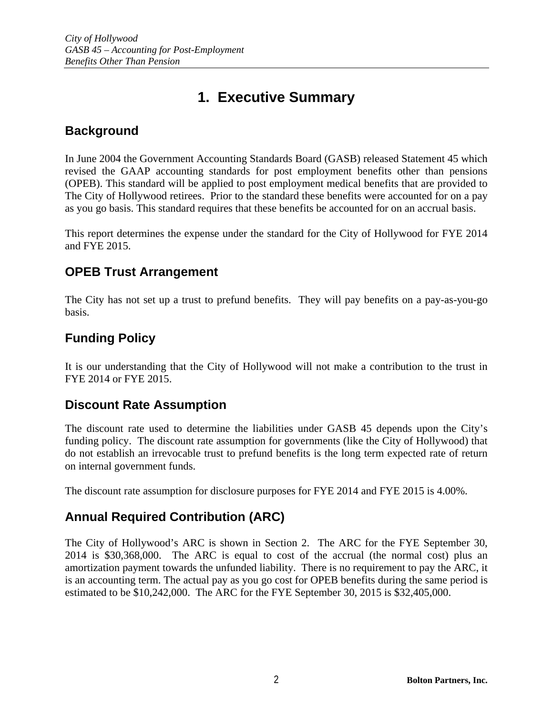## **1. Executive Summary**

## **Background**

In June 2004 the Government Accounting Standards Board (GASB) released Statement 45 which revised the GAAP accounting standards for post employment benefits other than pensions (OPEB). This standard will be applied to post employment medical benefits that are provided to The City of Hollywood retirees. Prior to the standard these benefits were accounted for on a pay as you go basis. This standard requires that these benefits be accounted for on an accrual basis.

This report determines the expense under the standard for the City of Hollywood for FYE 2014 and FYE 2015.

## **OPEB Trust Arrangement**

The City has not set up a trust to prefund benefits. They will pay benefits on a pay-as-you-go basis.

## **Funding Policy**

It is our understanding that the City of Hollywood will not make a contribution to the trust in FYE 2014 or FYE 2015.

### **Discount Rate Assumption**

The discount rate used to determine the liabilities under GASB 45 depends upon the City's funding policy. The discount rate assumption for governments (like the City of Hollywood) that do not establish an irrevocable trust to prefund benefits is the long term expected rate of return on internal government funds.

The discount rate assumption for disclosure purposes for FYE 2014 and FYE 2015 is 4.00%.

## **Annual Required Contribution (ARC)**

The City of Hollywood's ARC is shown in Section 2. The ARC for the FYE September 30, 2014 is \$30,368,000. The ARC is equal to cost of the accrual (the normal cost) plus an amortization payment towards the unfunded liability. There is no requirement to pay the ARC, it is an accounting term. The actual pay as you go cost for OPEB benefits during the same period is estimated to be \$10,242,000. The ARC for the FYE September 30, 2015 is \$32,405,000.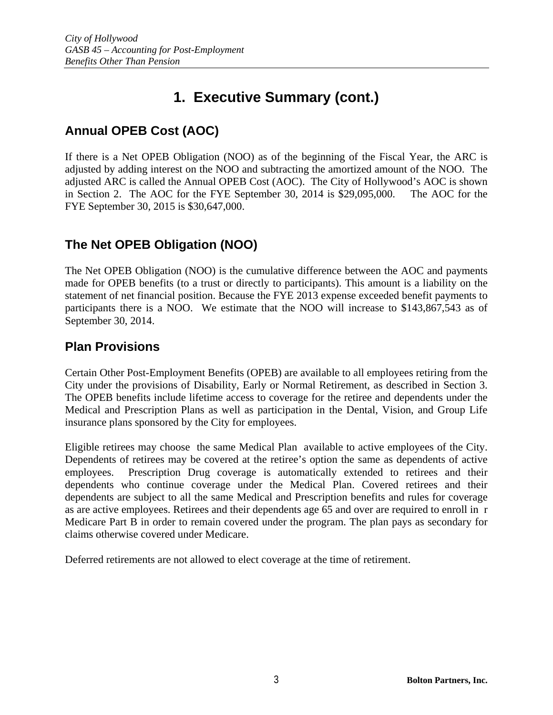## **Annual OPEB Cost (AOC)**

If there is a Net OPEB Obligation (NOO) as of the beginning of the Fiscal Year, the ARC is adjusted by adding interest on the NOO and subtracting the amortized amount of the NOO. The adjusted ARC is called the Annual OPEB Cost (AOC). The City of Hollywood's AOC is shown in Section 2. The AOC for the FYE September 30, 2014 is \$29,095,000. The AOC for the FYE September 30, 2015 is \$30,647,000.

## **The Net OPEB Obligation (NOO)**

The Net OPEB Obligation (NOO) is the cumulative difference between the AOC and payments made for OPEB benefits (to a trust or directly to participants). This amount is a liability on the statement of net financial position. Because the FYE 2013 expense exceeded benefit payments to participants there is a NOO. We estimate that the NOO will increase to \$143,867,543 as of September 30, 2014.

## **Plan Provisions**

Certain Other Post-Employment Benefits (OPEB) are available to all employees retiring from the City under the provisions of Disability, Early or Normal Retirement, as described in Section 3. The OPEB benefits include lifetime access to coverage for the retiree and dependents under the Medical and Prescription Plans as well as participation in the Dental, Vision, and Group Life insurance plans sponsored by the City for employees.

Eligible retirees may choose the same Medical Plan available to active employees of the City. Dependents of retirees may be covered at the retiree's option the same as dependents of active employees. Prescription Drug coverage is automatically extended to retirees and their dependents who continue coverage under the Medical Plan. Covered retirees and their dependents are subject to all the same Medical and Prescription benefits and rules for coverage as are active employees. Retirees and their dependents age 65 and over are required to enroll in r Medicare Part B in order to remain covered under the program. The plan pays as secondary for claims otherwise covered under Medicare.

Deferred retirements are not allowed to elect coverage at the time of retirement.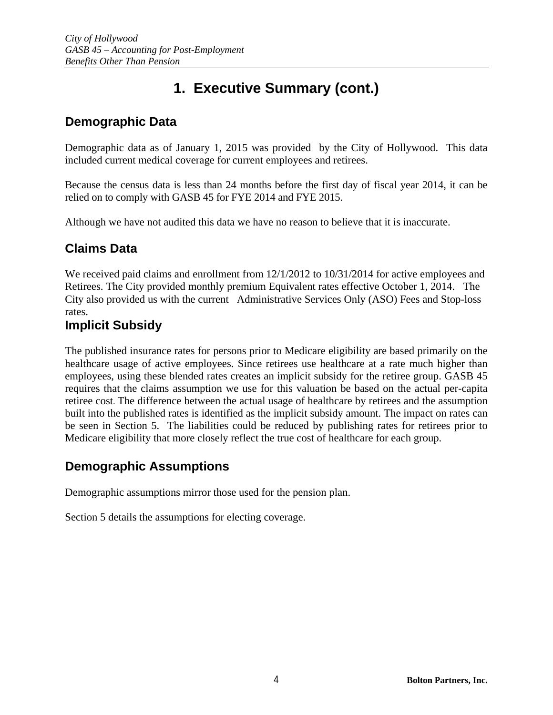## **Demographic Data**

Demographic data as of January 1, 2015 was provided by the City of Hollywood. This data included current medical coverage for current employees and retirees.

Because the census data is less than 24 months before the first day of fiscal year 2014, it can be relied on to comply with GASB 45 for FYE 2014 and FYE 2015.

Although we have not audited this data we have no reason to believe that it is inaccurate.

## **Claims Data**

We received paid claims and enrollment from  $12/1/2012$  to  $10/31/2014$  for active employees and Retirees. The City provided monthly premium Equivalent rates effective October 1, 2014. The City also provided us with the current Administrative Services Only (ASO) Fees and Stop-loss rates.

### **Implicit Subsidy**

The published insurance rates for persons prior to Medicare eligibility are based primarily on the healthcare usage of active employees. Since retirees use healthcare at a rate much higher than employees, using these blended rates creates an implicit subsidy for the retiree group. GASB 45 requires that the claims assumption we use for this valuation be based on the actual per-capita retiree cost. The difference between the actual usage of healthcare by retirees and the assumption built into the published rates is identified as the implicit subsidy amount. The impact on rates can be seen in Section 5. The liabilities could be reduced by publishing rates for retirees prior to Medicare eligibility that more closely reflect the true cost of healthcare for each group.

## **Demographic Assumptions**

Demographic assumptions mirror those used for the pension plan.

Section 5 details the assumptions for electing coverage.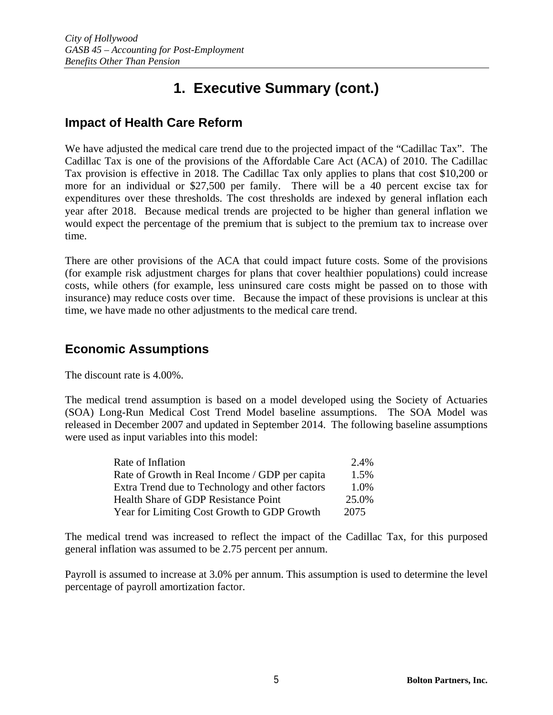### **Impact of Health Care Reform**

We have adjusted the medical care trend due to the projected impact of the "Cadillac Tax". The Cadillac Tax is one of the provisions of the Affordable Care Act (ACA) of 2010. The Cadillac Tax provision is effective in 2018. The Cadillac Tax only applies to plans that cost \$10,200 or more for an individual or \$27,500 per family. There will be a 40 percent excise tax for expenditures over these thresholds. The cost thresholds are indexed by general inflation each year after 2018. Because medical trends are projected to be higher than general inflation we would expect the percentage of the premium that is subject to the premium tax to increase over time.

There are other provisions of the ACA that could impact future costs. Some of the provisions (for example risk adjustment charges for plans that cover healthier populations) could increase costs, while others (for example, less uninsured care costs might be passed on to those with insurance) may reduce costs over time. Because the impact of these provisions is unclear at this time, we have made no other adjustments to the medical care trend.

### **Economic Assumptions**

The discount rate is 4.00%.

The medical trend assumption is based on a model developed using the Society of Actuaries (SOA) Long-Run Medical Cost Trend Model baseline assumptions. The SOA Model was released in December 2007 and updated in September 2014. The following baseline assumptions were used as input variables into this model:

| Rate of Inflation                               | 2.4%  |
|-------------------------------------------------|-------|
| Rate of Growth in Real Income / GDP per capita  | 1.5%  |
| Extra Trend due to Technology and other factors | 1.0%  |
| Health Share of GDP Resistance Point            | 25.0% |
| Year for Limiting Cost Growth to GDP Growth     | 2075  |

The medical trend was increased to reflect the impact of the Cadillac Tax, for this purposed general inflation was assumed to be 2.75 percent per annum.

Payroll is assumed to increase at 3.0% per annum. This assumption is used to determine the level percentage of payroll amortization factor.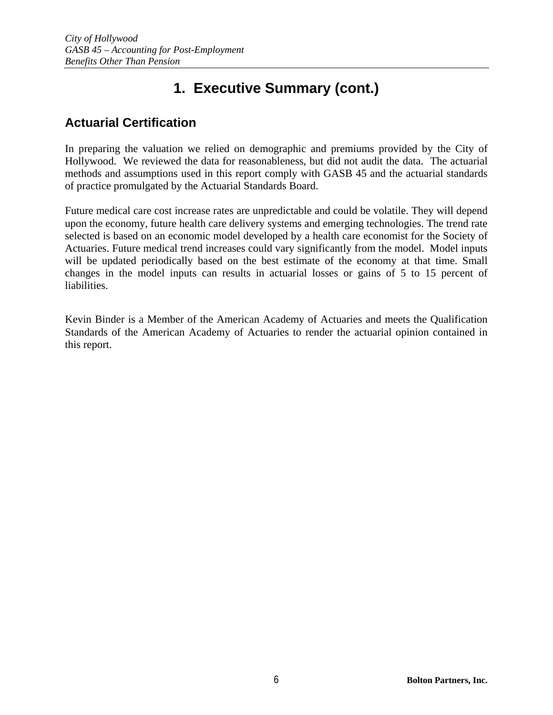## **Actuarial Certification**

In preparing the valuation we relied on demographic and premiums provided by the City of Hollywood. We reviewed the data for reasonableness, but did not audit the data. The actuarial methods and assumptions used in this report comply with GASB 45 and the actuarial standards of practice promulgated by the Actuarial Standards Board.

Future medical care cost increase rates are unpredictable and could be volatile. They will depend upon the economy, future health care delivery systems and emerging technologies. The trend rate selected is based on an economic model developed by a health care economist for the Society of Actuaries. Future medical trend increases could vary significantly from the model. Model inputs will be updated periodically based on the best estimate of the economy at that time. Small changes in the model inputs can results in actuarial losses or gains of 5 to 15 percent of liabilities.

Kevin Binder is a Member of the American Academy of Actuaries and meets the Qualification Standards of the American Academy of Actuaries to render the actuarial opinion contained in this report.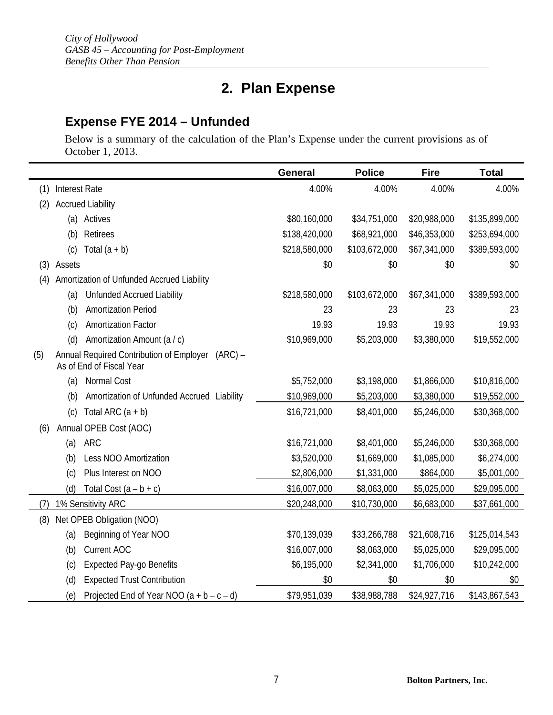# **2. Plan Expense**

## **Expense FYE 2014 – Unfunded**

Below is a summary of the calculation of the Plan's Expense under the current provisions as of October 1, 2013.

|     |                      |                                                                                   | <b>General</b> | <b>Police</b> | <b>Fire</b>  | <b>Total</b>  |
|-----|----------------------|-----------------------------------------------------------------------------------|----------------|---------------|--------------|---------------|
| (1) | <b>Interest Rate</b> |                                                                                   | 4.00%          | 4.00%         | 4.00%        | 4.00%         |
| (2) |                      | <b>Accrued Liability</b>                                                          |                |               |              |               |
|     |                      | (a) Actives                                                                       | \$80,160,000   | \$34,751,000  | \$20,988,000 | \$135,899,000 |
|     | (b)                  | Retirees                                                                          | \$138,420,000  | \$68,921,000  | \$46,353,000 | \$253,694,000 |
|     | (c)                  | Total $(a + b)$                                                                   | \$218,580,000  | \$103,672,000 | \$67,341,000 | \$389,593,000 |
| (3) | Assets               |                                                                                   | \$0            | \$0           | \$0          | \$0           |
| (4) |                      | Amortization of Unfunded Accrued Liability                                        |                |               |              |               |
|     | (a)                  | <b>Unfunded Accrued Liability</b>                                                 | \$218,580,000  | \$103,672,000 | \$67,341,000 | \$389,593,000 |
|     | (b)                  | <b>Amortization Period</b>                                                        | 23             | 23            | 23           | 23            |
|     | (c)                  | <b>Amortization Factor</b>                                                        | 19.93          | 19.93         | 19.93        | 19.93         |
|     | (d)                  | Amortization Amount (a / c)                                                       | \$10,969,000   | \$5,203,000   | \$3,380,000  | \$19,552,000  |
| (5) |                      | Annual Required Contribution of Employer<br>$(ARC) -$<br>As of End of Fiscal Year |                |               |              |               |
|     | (a)                  | Normal Cost                                                                       | \$5,752,000    | \$3,198,000   | \$1,866,000  | \$10,816,000  |
|     | (b)                  | Amortization of Unfunded Accrued Liability                                        | \$10,969,000   | \$5,203,000   | \$3,380,000  | \$19,552,000  |
|     | (c)                  | Total ARC $(a + b)$                                                               | \$16,721,000   | \$8,401,000   | \$5,246,000  | \$30,368,000  |
| (6) |                      | Annual OPEB Cost (AOC)                                                            |                |               |              |               |
|     | (a)                  | <b>ARC</b>                                                                        | \$16,721,000   | \$8,401,000   | \$5,246,000  | \$30,368,000  |
|     | (b)                  | Less NOO Amortization                                                             | \$3,520,000    | \$1,669,000   | \$1,085,000  | \$6,274,000   |
|     | (c)                  | Plus Interest on NOO                                                              | \$2,806,000    | \$1,331,000   | \$864,000    | \$5,001,000   |
|     | (d)                  | Total Cost $(a - b + c)$                                                          | \$16,007,000   | \$8,063,000   | \$5,025,000  | \$29,095,000  |
| (7) |                      | 1% Sensitivity ARC                                                                | \$20,248,000   | \$10,730,000  | \$6,683,000  | \$37,661,000  |
| (8) |                      | Net OPEB Obligation (NOO)                                                         |                |               |              |               |
|     | (a)                  | Beginning of Year NOO                                                             | \$70,139,039   | \$33,266,788  | \$21,608,716 | \$125,014,543 |
|     | (b)                  | Current AOC                                                                       | \$16,007,000   | \$8,063,000   | \$5,025,000  | \$29,095,000  |
|     | (c)                  | <b>Expected Pay-go Benefits</b>                                                   | \$6,195,000    | \$2,341,000   | \$1,706,000  | \$10,242,000  |
|     | (d)                  | <b>Expected Trust Contribution</b>                                                | \$0            | \$0           | \$0          | \$0           |
|     | (e)                  | Projected End of Year NOO $(a + b - c - d)$                                       | \$79,951,039   | \$38,988,788  | \$24,927,716 | \$143,867,543 |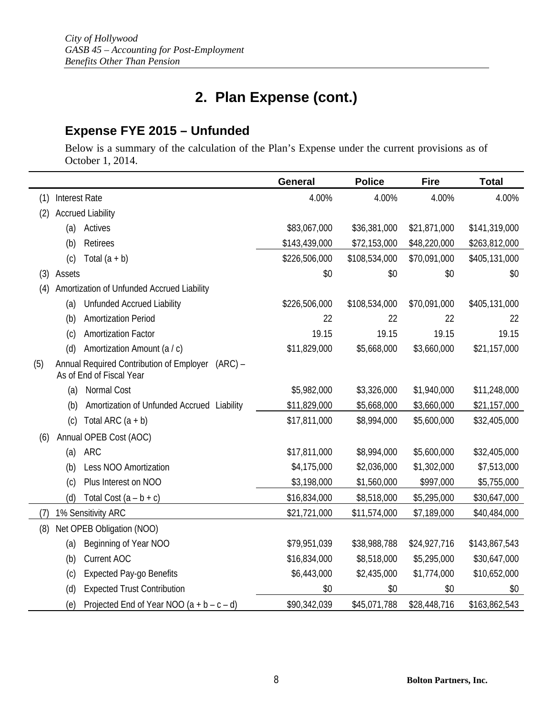## **2. Plan Expense (cont.)**

## **Expense FYE 2015 – Unfunded**

Below is a summary of the calculation of the Plan's Expense under the current provisions as of October 1, 2014.

|     |                      |                                                                                   | General       | <b>Police</b> | <b>Fire</b>  | <b>Total</b>  |
|-----|----------------------|-----------------------------------------------------------------------------------|---------------|---------------|--------------|---------------|
| (1) | <b>Interest Rate</b> |                                                                                   | 4.00%         | 4.00%         | 4.00%        | 4.00%         |
| (2) |                      | <b>Accrued Liability</b>                                                          |               |               |              |               |
|     | (a)                  | Actives                                                                           | \$83,067,000  | \$36,381,000  | \$21,871,000 | \$141,319,000 |
|     | (b)                  | Retirees                                                                          | \$143,439,000 | \$72,153,000  | \$48,220,000 | \$263,812,000 |
|     | (c)                  | Total $(a + b)$                                                                   | \$226,506,000 | \$108,534,000 | \$70,091,000 | \$405,131,000 |
| (3) | Assets               |                                                                                   | \$0           | \$0           | \$0          | \$0           |
| (4) |                      | Amortization of Unfunded Accrued Liability                                        |               |               |              |               |
|     | (a)                  | <b>Unfunded Accrued Liability</b>                                                 | \$226,506,000 | \$108,534,000 | \$70,091,000 | \$405,131,000 |
|     | (b)                  | <b>Amortization Period</b>                                                        | 22            | 22            | 22           | 22            |
|     | (c)                  | <b>Amortization Factor</b>                                                        | 19.15         | 19.15         | 19.15        | 19.15         |
|     | (d)                  | Amortization Amount (a / c)                                                       | \$11,829,000  | \$5,668,000   | \$3,660,000  | \$21,157,000  |
| (5) |                      | Annual Required Contribution of Employer<br>$(ARC) -$<br>As of End of Fiscal Year |               |               |              |               |
|     | (a)                  | Normal Cost                                                                       | \$5,982,000   | \$3,326,000   | \$1,940,000  | \$11,248,000  |
|     | (b)                  | Amortization of Unfunded Accrued Liability                                        | \$11,829,000  | \$5,668,000   | \$3,660,000  | \$21,157,000  |
|     | (c)                  | Total ARC $(a + b)$                                                               | \$17,811,000  | \$8,994,000   | \$5,600,000  | \$32,405,000  |
| (6) |                      | Annual OPEB Cost (AOC)                                                            |               |               |              |               |
|     | (a)                  | <b>ARC</b>                                                                        | \$17,811,000  | \$8,994,000   | \$5,600,000  | \$32,405,000  |
|     | (b)                  | Less NOO Amortization                                                             | \$4,175,000   | \$2,036,000   | \$1,302,000  | \$7,513,000   |
|     | (c)                  | Plus Interest on NOO                                                              | \$3,198,000   | \$1,560,000   | \$997,000    | \$5,755,000   |
|     | (d)                  | Total Cost $(a - b + c)$                                                          | \$16,834,000  | \$8,518,000   | \$5,295,000  | \$30,647,000  |
| (7) |                      | 1% Sensitivity ARC                                                                | \$21,721,000  | \$11,574,000  | \$7,189,000  | \$40,484,000  |
| (8) |                      | Net OPEB Obligation (NOO)                                                         |               |               |              |               |
|     | (a)                  | Beginning of Year NOO                                                             | \$79,951,039  | \$38,988,788  | \$24,927,716 | \$143,867,543 |
|     | (b)                  | Current AOC                                                                       | \$16,834,000  | \$8,518,000   | \$5,295,000  | \$30,647,000  |
|     | (c)                  | <b>Expected Pay-go Benefits</b>                                                   | \$6,443,000   | \$2,435,000   | \$1,774,000  | \$10,652,000  |
|     | (d)                  | <b>Expected Trust Contribution</b>                                                | \$0           | \$0           | \$0          | \$0           |
|     | (e)                  | Projected End of Year NOO $(a + b - c - d)$                                       | \$90,342,039  | \$45,071,788  | \$28,448,716 | \$163,862,543 |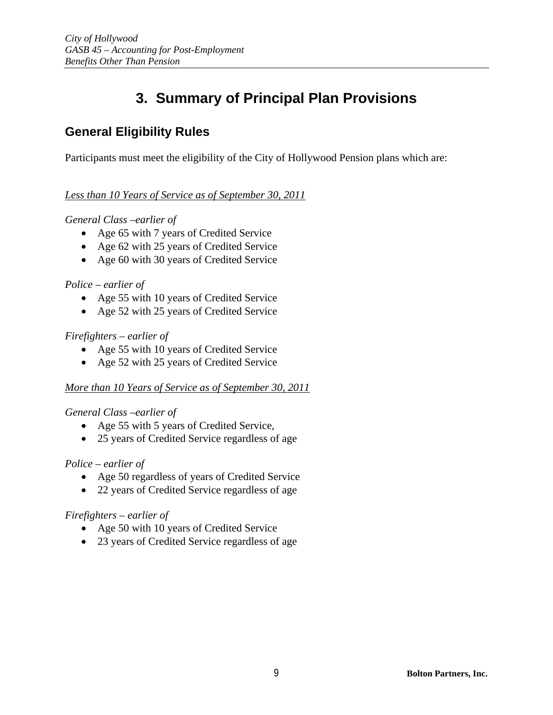## **3. Summary of Principal Plan Provisions**

## **General Eligibility Rules**

Participants must meet the eligibility of the City of Hollywood Pension plans which are:

### *Less than 10 Years of Service as of September 30, 2011*

### *General Class –earlier of*

- Age 65 with 7 years of Credited Service
- Age 62 with 25 years of Credited Service
- Age 60 with 30 years of Credited Service

### *Police – earlier of*

- Age 55 with 10 years of Credited Service
- Age 52 with 25 years of Credited Service

### *Firefighters – earlier of*

- Age 55 with 10 years of Credited Service
- Age 52 with 25 years of Credited Service

### *More than 10 Years of Service as of September 30, 2011*

### *General Class –earlier of*

- Age 55 with 5 years of Credited Service,
- 25 years of Credited Service regardless of age

### *Police – earlier of*

- Age 50 regardless of years of Credited Service
- 22 years of Credited Service regardless of age

### *Firefighters – earlier of*

- Age 50 with 10 years of Credited Service
- 23 years of Credited Service regardless of age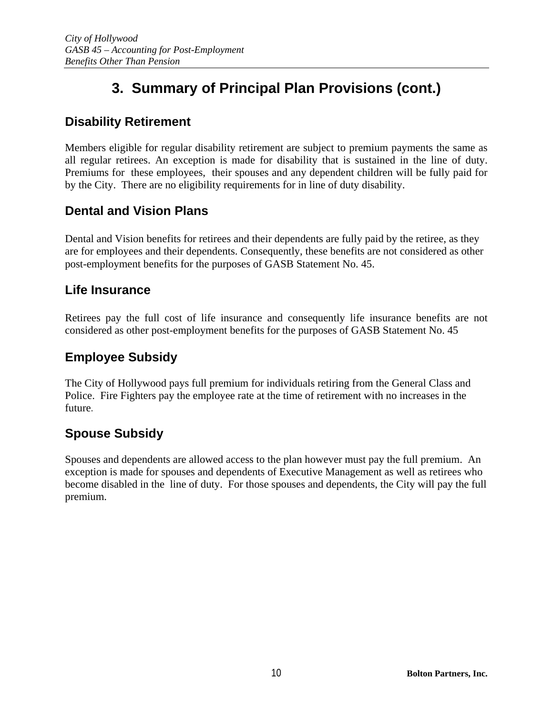# **3. Summary of Principal Plan Provisions (cont.)**

## **Disability Retirement**

Members eligible for regular disability retirement are subject to premium payments the same as all regular retirees. An exception is made for disability that is sustained in the line of duty. Premiums for these employees, their spouses and any dependent children will be fully paid for by the City. There are no eligibility requirements for in line of duty disability.

### **Dental and Vision Plans**

Dental and Vision benefits for retirees and their dependents are fully paid by the retiree, as they are for employees and their dependents. Consequently, these benefits are not considered as other post-employment benefits for the purposes of GASB Statement No. 45.

### **Life Insurance**

Retirees pay the full cost of life insurance and consequently life insurance benefits are not considered as other post-employment benefits for the purposes of GASB Statement No. 45

## **Employee Subsidy**

The City of Hollywood pays full premium for individuals retiring from the General Class and Police. Fire Fighters pay the employee rate at the time of retirement with no increases in the future.

## **Spouse Subsidy**

Spouses and dependents are allowed access to the plan however must pay the full premium. An exception is made for spouses and dependents of Executive Management as well as retirees who become disabled in the line of duty. For those spouses and dependents, the City will pay the full premium.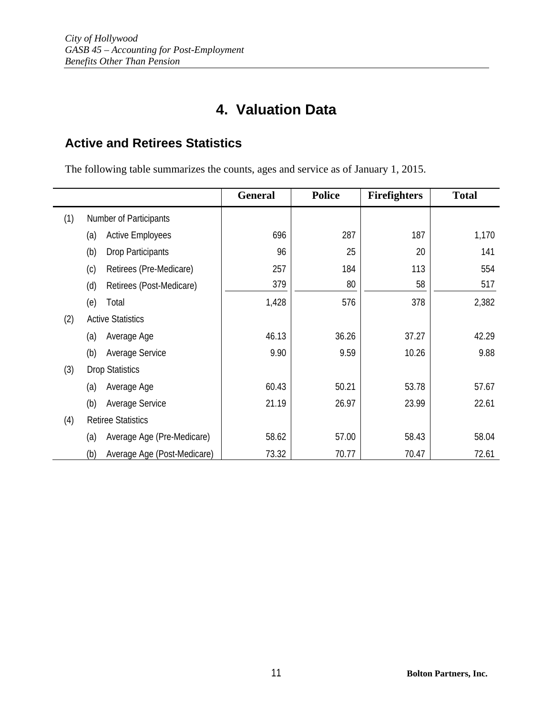# **4. Valuation Data**

## **Active and Retirees Statistics**

The following table summarizes the counts, ages and service as of January 1, 2015.

|     |                                    | General | <b>Police</b> | <b>Firefighters</b> | <b>Total</b> |
|-----|------------------------------------|---------|---------------|---------------------|--------------|
| (1) | Number of Participants             |         |               |                     |              |
|     | <b>Active Employees</b><br>(a)     | 696     | 287           | 187                 | 1,170        |
|     | (b)<br>Drop Participants           | 96      | 25            | 20                  | 141          |
|     | (c)<br>Retirees (Pre-Medicare)     | 257     | 184           | 113                 | 554          |
|     | (d)<br>Retirees (Post-Medicare)    | 379     | 80            | 58                  | 517          |
|     | (e)<br>Total                       | 1,428   | 576           | 378                 | 2,382        |
| (2) | <b>Active Statistics</b>           |         |               |                     |              |
|     | (a)<br>Average Age                 | 46.13   | 36.26         | 37.27               | 42.29        |
|     | (b)<br>Average Service             | 9.90    | 9.59          | 10.26               | 9.88         |
| (3) | <b>Drop Statistics</b>             |         |               |                     |              |
|     | (a)<br>Average Age                 | 60.43   | 50.21         | 53.78               | 57.67        |
|     | (b)<br>Average Service             | 21.19   | 26.97         | 23.99               | 22.61        |
| (4) | <b>Retiree Statistics</b>          |         |               |                     |              |
|     | Average Age (Pre-Medicare)<br>(a)  | 58.62   | 57.00         | 58.43               | 58.04        |
|     | (b)<br>Average Age (Post-Medicare) | 73.32   | 70.77         | 70.47               | 72.61        |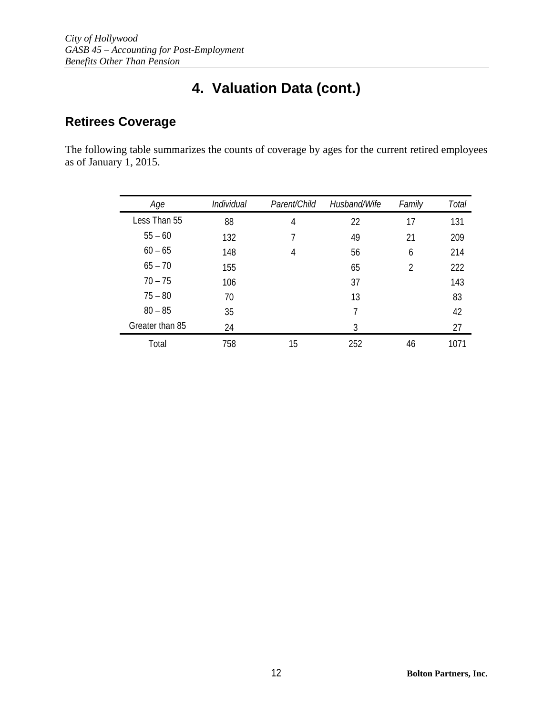# **4. Valuation Data (cont.)**

## **Retirees Coverage**

The following table summarizes the counts of coverage by ages for the current retired employees as of January 1, 2015.

| Age             | <b>Individual</b> | Parent/Child | Husband/Wife | Family | Total |
|-----------------|-------------------|--------------|--------------|--------|-------|
| Less Than 55    | 88                | 4            | 22           | 17     | 131   |
| $55 - 60$       | 132               | 7            | 49           | 21     | 209   |
| $60 - 65$       | 148               | 4            | 56           | 6      | 214   |
| $65 - 70$       | 155               |              | 65           | 2      | 222   |
| $70 - 75$       | 106               |              | 37           |        | 143   |
| $75 - 80$       | 70                |              | 13           |        | 83    |
| $80 - 85$       | 35                |              | 7            |        | 42    |
| Greater than 85 | 24                |              | 3            |        | 27    |
| Total           | 758               | 15           | 252          | 46     | 1071  |
|                 |                   |              |              |        |       |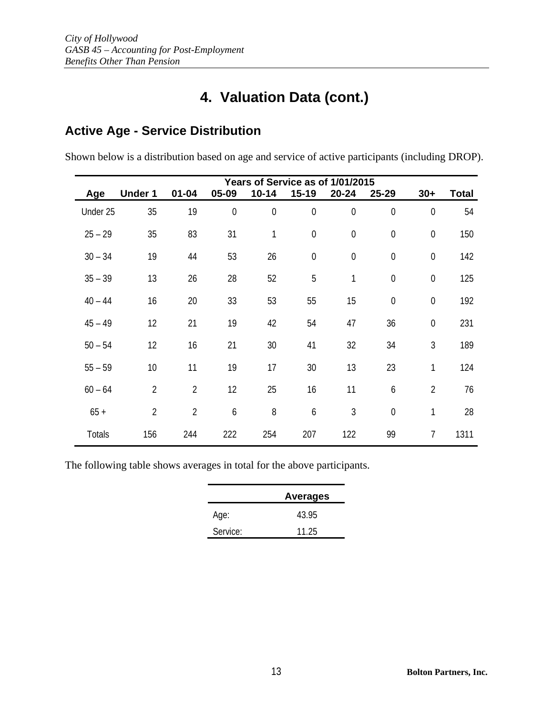## **4. Valuation Data (cont.)**

## **Active Age - Service Distribution**

Shown below is a distribution based on age and service of active participants (including DROP).

|           | Years of Service as of 1/01/2015 |                |             |                |                  |              |                  |                  |              |
|-----------|----------------------------------|----------------|-------------|----------------|------------------|--------------|------------------|------------------|--------------|
| Age       | <b>Under 1</b>                   | $01 - 04$      | 05-09       | $10 - 14$      | $15 - 19$        | $20 - 24$    | 25-29            | $30+$            | <b>Total</b> |
| Under 25  | 35                               | 19             | $\mathbf 0$ | $\overline{0}$ | $\mathbf 0$      | $\mathbf 0$  | $\mathbf 0$      | $\mathbf 0$      | 54           |
| $25 - 29$ | 35                               | 83             | 31          | 1              | $\mathbf 0$      | $\mathbf 0$  | $\mathbf 0$      | $\boldsymbol{0}$ | 150          |
| $30 - 34$ | 19                               | 44             | 53          | 26             | $\boldsymbol{0}$ | $\mathbf 0$  | $\mathbf 0$      | $\mathbf 0$      | 142          |
| $35 - 39$ | 13                               | 26             | 28          | 52             | 5                | $\mathbf{1}$ | $\mathbf 0$      | $\mathbf 0$      | 125          |
| $40 - 44$ | 16                               | 20             | 33          | 53             | 55               | 15           | $\boldsymbol{0}$ | $\boldsymbol{0}$ | 192          |
| $45 - 49$ | 12                               | 21             | 19          | 42             | 54               | 47           | 36               | $\mathbf 0$      | 231          |
| $50 - 54$ | 12                               | 16             | 21          | 30             | 41               | 32           | 34               | $\mathfrak{Z}$   | 189          |
| $55 - 59$ | 10                               | 11             | 19          | 17             | 30               | 13           | 23               | 1                | 124          |
| $60 - 64$ | $\overline{2}$                   | $\overline{2}$ | 12          | 25             | 16               | 11           | 6                | $\overline{2}$   | 76           |
| $65 +$    | $\overline{2}$                   | $\overline{2}$ | 6           | 8              | 6                | 3            | $\mathbf 0$      | 1                | 28           |
| Totals    | 156                              | 244            | 222         | 254            | 207              | 122          | 99               | $\overline{7}$   | 1311         |

The following table shows averages in total for the above participants.

|          | <b>Averages</b> |
|----------|-----------------|
| Age:     | 43.95           |
| Service: | 11.25           |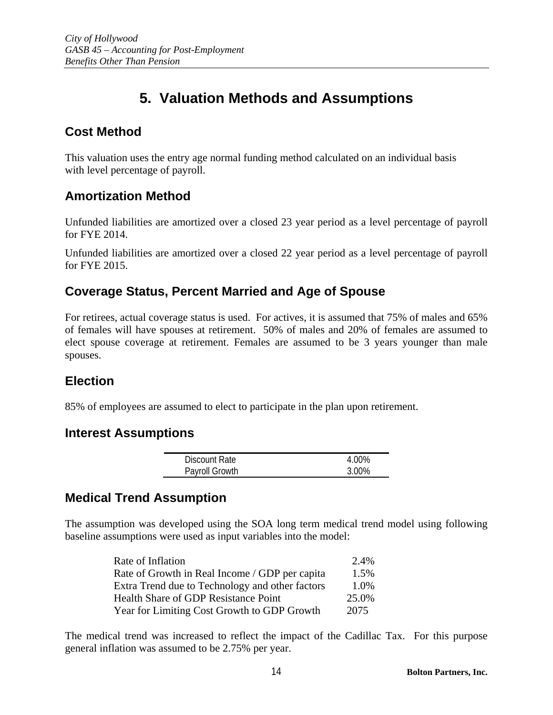## **5. Valuation Methods and Assumptions**

## **Cost Method**

This valuation uses the entry age normal funding method calculated on an individual basis with level percentage of payroll.

### **Amortization Method**

Unfunded liabilities are amortized over a closed 23 year period as a level percentage of payroll for FYE 2014.

Unfunded liabilities are amortized over a closed 22 year period as a level percentage of payroll for FYE 2015.

## **Coverage Status, Percent Married and Age of Spouse**

For retirees, actual coverage status is used. For actives, it is assumed that 75% of males and 65% of females will have spouses at retirement. 50% of males and 20% of females are assumed to elect spouse coverage at retirement. Females are assumed to be 3 years younger than male spouses.

## **Election**

85% of employees are assumed to elect to participate in the plan upon retirement.

### **Interest Assumptions**

| <b>Discount Rate</b> | 4 በበ% |
|----------------------|-------|
| Payroll Growth       | 3.00% |

### **Medical Trend Assumption**

The assumption was developed using the SOA long term medical trend model using following baseline assumptions were used as input variables into the model:

| Rate of Inflation                               | 2.4%  |
|-------------------------------------------------|-------|
| Rate of Growth in Real Income / GDP per capita  | 1.5%  |
| Extra Trend due to Technology and other factors | 1.0%  |
| Health Share of GDP Resistance Point            | 25.0% |
| Year for Limiting Cost Growth to GDP Growth     | 2075  |

The medical trend was increased to reflect the impact of the Cadillac Tax. For this purpose general inflation was assumed to be 2.75% per year.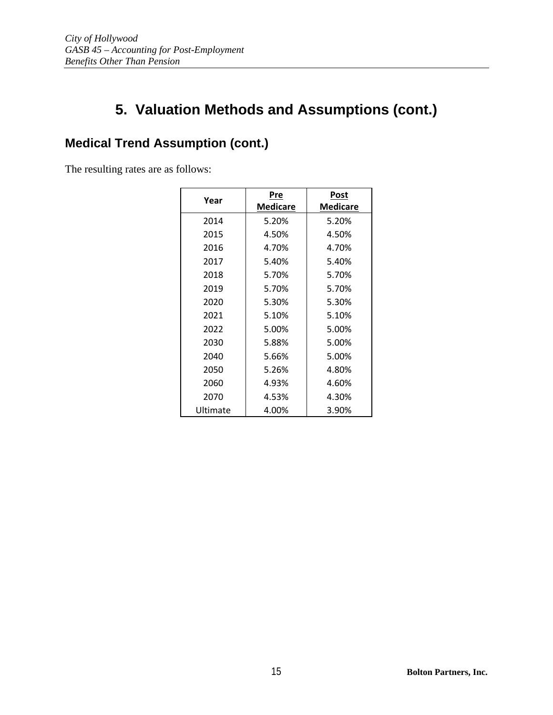## **Medical Trend Assumption (cont.)**

The resulting rates are as follows:

| Year     | Pre             | Post            |
|----------|-----------------|-----------------|
|          | <b>Medicare</b> | <b>Medicare</b> |
| 2014     | 5.20%           | 5.20%           |
| 2015     | 4.50%           | 4.50%           |
| 2016     | 4.70%           | 4.70%           |
| 2017     | 5.40%           | 5.40%           |
| 2018     | 5.70%           | 5.70%           |
| 2019     | 5.70%           | 5.70%           |
| 2020     | 5.30%           | 5.30%           |
| 2021     | 5.10%           | 5.10%           |
| 2022     | 5.00%           | 5.00%           |
| 2030     | 5.88%           | 5.00%           |
| 2040     | 5.66%           | 5.00%           |
| 2050     | 5.26%           | 4.80%           |
| 2060     | 4.93%           | 4.60%           |
| 2070     | 4.53%           | 4.30%           |
| Ultimate | 4.00%           | 3.90%           |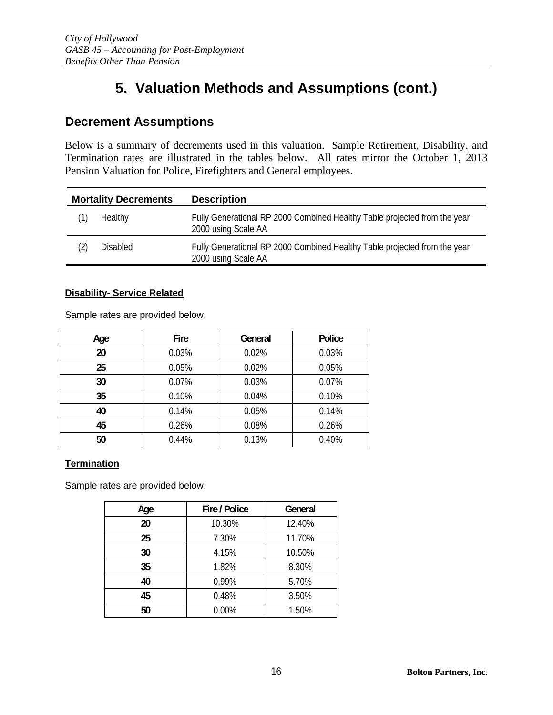### **Decrement Assumptions**

Below is a summary of decrements used in this valuation. Sample Retirement, Disability, and Termination rates are illustrated in the tables below. All rates mirror the October 1, 2013 Pension Valuation for Police, Firefighters and General employees.

| <b>Mortality Decrements</b> |                 | <b>Description</b>                                                                               |
|-----------------------------|-----------------|--------------------------------------------------------------------------------------------------|
|                             | Healthy         | Fully Generational RP 2000 Combined Healthy Table projected from the year<br>2000 using Scale AA |
| LZ)                         | <b>Disabled</b> | Fully Generational RP 2000 Combined Healthy Table projected from the year<br>2000 using Scale AA |

#### **Disability- Service Related**

Sample rates are provided below.

| Age | Fire  | General | Police |
|-----|-------|---------|--------|
| 20  | 0.03% | 0.02%   | 0.03%  |
| 25  | 0.05% | 0.02%   | 0.05%  |
| 30  | 0.07% | 0.03%   | 0.07%  |
| 35  | 0.10% | 0.04%   | 0.10%  |
| 40  | 0.14% | 0.05%   | 0.14%  |
| 45  | 0.26% | 0.08%   | 0.26%  |
| 50  | 0.44% | 0.13%   | 0.40%  |

#### **Termination**

Sample rates are provided below.

| Age | Fire / Police | General |
|-----|---------------|---------|
| 20  | 10.30%        | 12.40%  |
| 25  | 7.30%         | 11.70%  |
| 30  | 4.15%         | 10.50%  |
| 35  | 1.82%         | 8.30%   |
| 40  | 0.99%         | 5.70%   |
| 45  | 0.48%         | 3.50%   |
| 50  | 0.00%         | 1.50%   |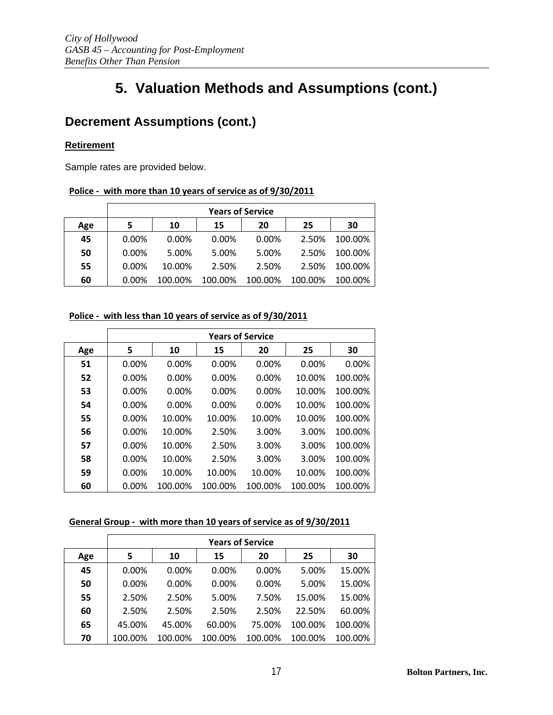## **Decrement Assumptions (cont.)**

#### **Retirement**

Sample rates are provided below.

#### **Police ‐ with more than 10 years of service as of 9/30/2011**

|     |       | <b>Years of Service</b> |          |         |         |         |
|-----|-------|-------------------------|----------|---------|---------|---------|
| Age |       | 10                      | 15       | 20      | 25      | 30      |
| 45  | 0.00% | $0.00\%$                | $0.00\%$ | 0.00%   | 2.50%   | 100.00% |
| 50  | 0.00% | 5.00%                   | 5.00%    | 5.00%   | 2.50%   | 100.00% |
| 55  | 0.00% | 10.00%                  | 2.50%    | 2.50%   | 2.50%   | 100.00% |
| 60  | 0.00% | 100.00%                 | 100.00%  | 100.00% | 100.00% | 100.00% |

#### **Police ‐ with less than 10 years of service as of 9/30/2011**

|     | <b>Years of Service</b> |         |          |         |         |         |
|-----|-------------------------|---------|----------|---------|---------|---------|
| Age | 5                       | 10      | 15       | 20      | 25      | 30      |
| 51  | 0.00%                   | 0.00%   | 0.00%    | 0.00%   | 0.00%   | 0.00%   |
| 52  | 0.00%                   | 0.00%   | $0.00\%$ | 0.00%   | 10.00%  | 100.00% |
| 53  | 0.00%                   | 0.00%   | 0.00%    | 0.00%   | 10.00%  | 100.00% |
| 54  | 0.00%                   | 0.00%   | 0.00%    | 0.00%   | 10.00%  | 100.00% |
| 55  | 0.00%                   | 10.00%  | 10.00%   | 10.00%  | 10.00%  | 100.00% |
| 56  | 0.00%                   | 10.00%  | 2.50%    | 3.00%   | 3.00%   | 100.00% |
| 57  | 0.00%                   | 10.00%  | 2.50%    | 3.00%   | 3.00%   | 100.00% |
| 58  | 0.00%                   | 10.00%  | 2.50%    | 3.00%   | 3.00%   | 100.00% |
| 59  | 0.00%                   | 10.00%  | 10.00%   | 10.00%  | 10.00%  | 100.00% |
| 60  | $0.00\%$                | 100.00% | 100.00%  | 100.00% | 100.00% | 100.00% |

#### **General Group ‐ with more than 10 years of service as of 9/30/2011**

|     | <b>Years of Service</b> |          |          |          |         |         |
|-----|-------------------------|----------|----------|----------|---------|---------|
| Age | 5                       | 10       | 15       | 20       | 25      | 30      |
| 45  | 0.00%                   | $0.00\%$ | $0.00\%$ | $0.00\%$ | 5.00%   | 15.00%  |
| 50  | $0.00\%$                | 0.00%    | 0.00%    | $0.00\%$ | 5.00%   | 15.00%  |
| 55  | 2.50%                   | 2.50%    | 5.00%    | 7.50%    | 15.00%  | 15.00%  |
| 60  | 2.50%                   | 2.50%    | 2.50%    | 2.50%    | 22.50%  | 60.00%  |
| 65  | 45.00%                  | 45.00%   | 60.00%   | 75.00%   | 100.00% | 100.00% |
| 70  | 100.00%                 | 100.00%  | 100.00%  | 100.00%  | 100.00% | 100.00% |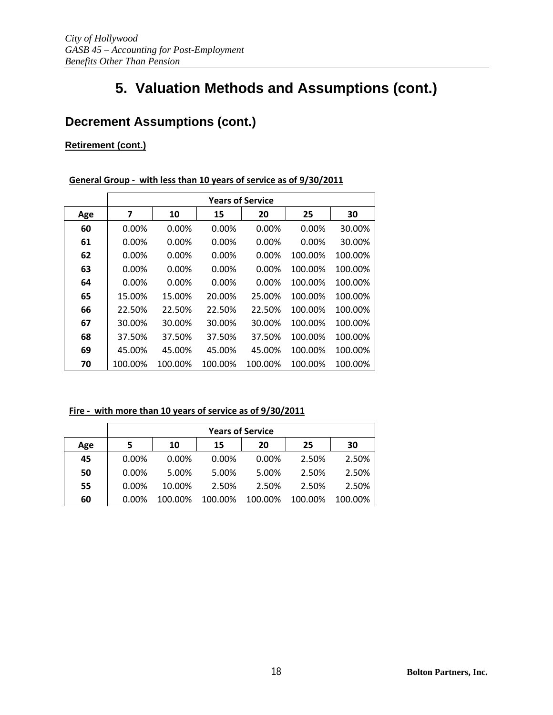## **Decrement Assumptions (cont.)**

### **Retirement (cont.)**

#### **General Group ‐ with less than 10 years of service as of 9/30/2011**

|     | <b>Years of Service</b> |          |         |          |          |         |
|-----|-------------------------|----------|---------|----------|----------|---------|
| Age | 7                       | 10       | 15      | 20       | 25       | 30      |
| 60  | 0.00%                   | 0.00%    | 0.00%   | 0.00%    | 0.00%    | 30.00%  |
| 61  | $0.00\%$                | $0.00\%$ | 0.00%   | 0.00%    | $0.00\%$ | 30.00%  |
| 62  | $0.00\%$                | $0.00\%$ | 0.00%   | $0.00\%$ | 100.00%  | 100.00% |
| 63  | $0.00\%$                | 0.00%    | 0.00%   | $0.00\%$ | 100.00%  | 100.00% |
| 64  | $0.00\%$                | $0.00\%$ | 0.00%   | $0.00\%$ | 100.00%  | 100.00% |
| 65  | 15.00%                  | 15.00%   | 20.00%  | 25.00%   | 100.00%  | 100.00% |
| 66  | 22.50%                  | 22.50%   | 22.50%  | 22.50%   | 100.00%  | 100.00% |
| 67  | 30.00%                  | 30.00%   | 30.00%  | 30.00%   | 100.00%  | 100.00% |
| 68  | 37.50%                  | 37.50%   | 37.50%  | 37.50%   | 100.00%  | 100.00% |
| 69  | 45.00%                  | 45.00%   | 45.00%  | 45.00%   | 100.00%  | 100.00% |
| 70  | 100.00%                 | 100.00%  | 100.00% | 100.00%  | 100.00%  | 100.00% |

#### **Fire ‐ with more than 10 years of service as of 9/30/2011**

|     |          | <b>Years of Service</b> |          |          |         |         |
|-----|----------|-------------------------|----------|----------|---------|---------|
| Age | 5        | 10                      | 15       | 20       | 25      | 30      |
| 45  | $0.00\%$ | $0.00\%$                | $0.00\%$ | $0.00\%$ | 2.50%   | 2.50%   |
| 50  | $0.00\%$ | 5.00%                   | 5.00%    | 5.00%    | 2.50%   | 2.50%   |
| 55  | 0.00%    | 10.00%                  | 2.50%    | 2.50%    | 2.50%   | 2.50%   |
| 60  | $0.00\%$ | 100.00%                 | 100.00%  | 100.00%  | 100.00% | 100.00% |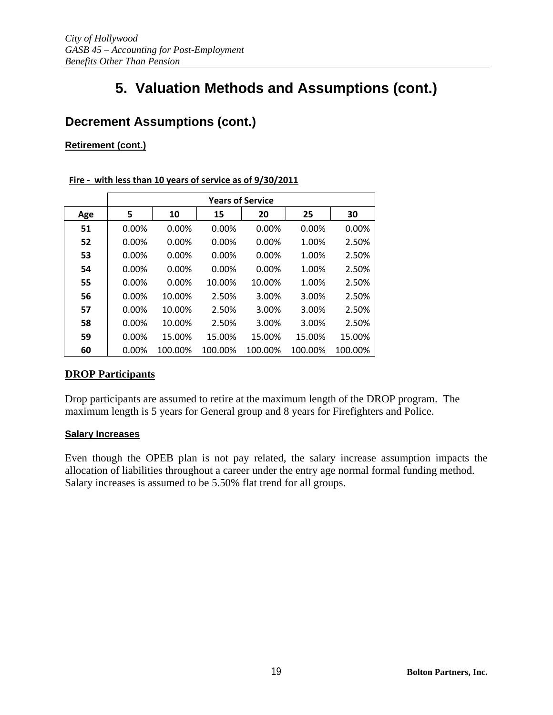## **Decrement Assumptions (cont.)**

### **Retirement (cont.)**

#### **Fire ‐ with less than 10 years of service as of 9/30/2011**

|     | <b>Years of Service</b> |         |         |          |         |         |
|-----|-------------------------|---------|---------|----------|---------|---------|
| Age | 5                       | 10      | 15      | 20       | 25      | 30      |
| 51  | 0.00%                   | 0.00%   | 0.00%   | 0.00%    | 0.00%   | 0.00%   |
| 52  | 0.00%                   | 0.00%   | 0.00%   | 0.00%    | 1.00%   | 2.50%   |
| 53  | 0.00%                   | 0.00%   | 0.00%   | 0.00%    | 1.00%   | 2.50%   |
| 54  | 0.00%                   | 0.00%   | 0.00%   | $0.00\%$ | 1.00%   | 2.50%   |
| 55  | 0.00%                   | 0.00%   | 10.00%  | 10.00%   | 1.00%   | 2.50%   |
| 56  | 0.00%                   | 10.00%  | 2.50%   | 3.00%    | 3.00%   | 2.50%   |
| 57  | 0.00%                   | 10.00%  | 2.50%   | 3.00%    | 3.00%   | 2.50%   |
| 58  | 0.00%                   | 10.00%  | 2.50%   | 3.00%    | 3.00%   | 2.50%   |
| 59  | 0.00%                   | 15.00%  | 15.00%  | 15.00%   | 15.00%  | 15.00%  |
| 60  | $0.00\%$                | 100.00% | 100.00% | 100.00%  | 100.00% | 100.00% |

### **DROP Participants**

Drop participants are assumed to retire at the maximum length of the DROP program. The maximum length is 5 years for General group and 8 years for Firefighters and Police.

#### **Salary Increases**

Even though the OPEB plan is not pay related, the salary increase assumption impacts the allocation of liabilities throughout a career under the entry age normal formal funding method. Salary increases is assumed to be 5.50% flat trend for all groups.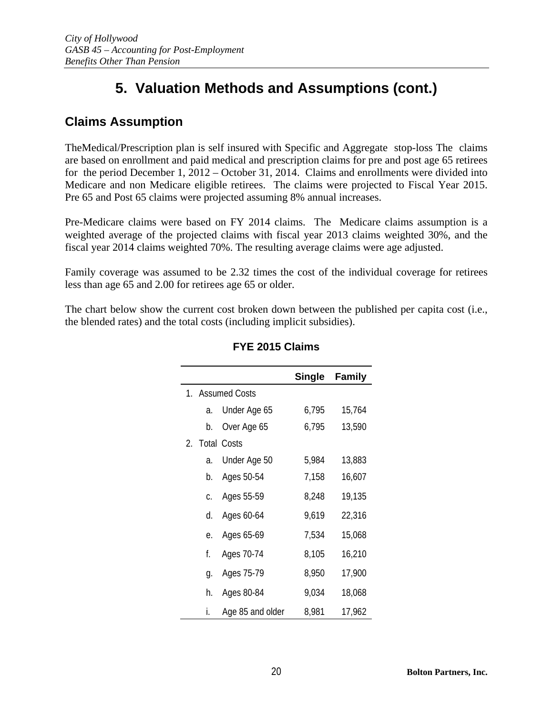## **Claims Assumption**

TheMedical/Prescription plan is self insured with Specific and Aggregate stop-loss The claims are based on enrollment and paid medical and prescription claims for pre and post age 65 retirees for the period December 1, 2012 – October 31, 2014. Claims and enrollments were divided into Medicare and non Medicare eligible retirees. The claims were projected to Fiscal Year 2015. Pre 65 and Post 65 claims were projected assuming 8% annual increases.

Pre-Medicare claims were based on FY 2014 claims. The Medicare claims assumption is a weighted average of the projected claims with fiscal year 2013 claims weighted 30%, and the fiscal year 2014 claims weighted 70%. The resulting average claims were age adjusted.

Family coverage was assumed to be 2.32 times the cost of the individual coverage for retirees less than age 65 and 2.00 for retirees age 65 or older.

The chart below show the current cost broken down between the published per capita cost (i.e., the blended rates) and the total costs (including implicit subsidies).

|                                 |         |                    | <b>Single</b> | <b>Family</b> |
|---------------------------------|---------|--------------------|---------------|---------------|
|                                 |         | 1. Assumed Costs   |               |               |
|                                 | a.      | Under Age 65       | 6,795         | 15,764        |
|                                 | b.      | Over Age 65        | 6,795         | 13,590        |
| $2_{\scriptscriptstyle{\perp}}$ |         | <b>Total Costs</b> |               |               |
|                                 | a.      | Under Age 50       | 5,984         | 13,883        |
|                                 | b.      | Ages 50-54         | 7,158         | 16,607        |
|                                 | $C_{1}$ | Ages 55-59         | 8,248         | 19,135        |
|                                 | d.      | Ages 60-64         | 9,619         | 22,316        |
|                                 | е.      | Ages 65-69         | 7,534         | 15,068        |
|                                 | f.      | Ages 70-74         | 8,105         | 16,210        |
|                                 | g.      | Ages 75-79         | 8,950         | 17,900        |
|                                 | h.      | Ages 80-84         | 9,034         | 18,068        |
|                                 | i.      | Age 85 and older   | 8,981         | 17,962        |

### **FYE 2015 Claims**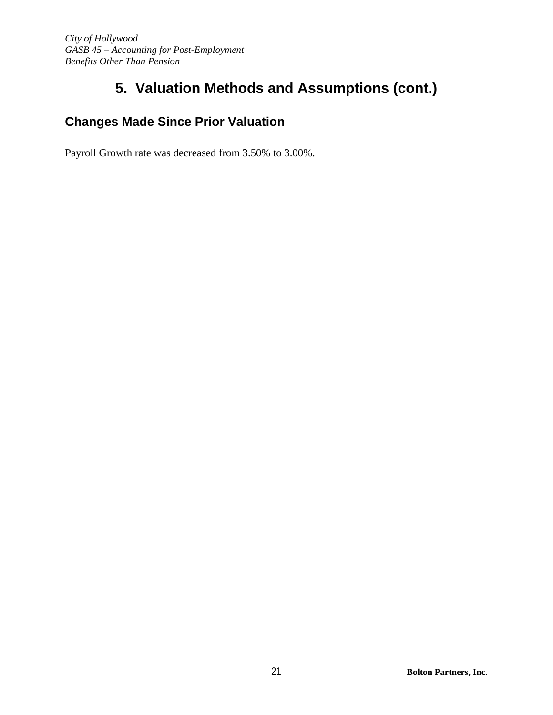## **Changes Made Since Prior Valuation**

Payroll Growth rate was decreased from 3.50% to 3.00%.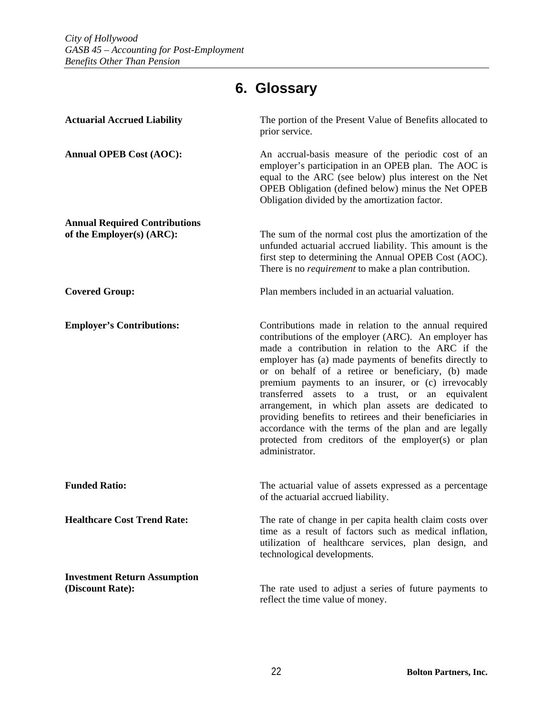# **6. Glossary**

| <b>Actuarial Accrued Liability</b>                                | The portion of the Present Value of Benefits allocated to<br>prior service.                                                                                                                                                                                                                                                                                                                                                                                                                                                                                                                                                                      |
|-------------------------------------------------------------------|--------------------------------------------------------------------------------------------------------------------------------------------------------------------------------------------------------------------------------------------------------------------------------------------------------------------------------------------------------------------------------------------------------------------------------------------------------------------------------------------------------------------------------------------------------------------------------------------------------------------------------------------------|
| <b>Annual OPEB Cost (AOC):</b>                                    | An accrual-basis measure of the periodic cost of an<br>employer's participation in an OPEB plan. The AOC is<br>equal to the ARC (see below) plus interest on the Net<br>OPEB Obligation (defined below) minus the Net OPEB<br>Obligation divided by the amortization factor.                                                                                                                                                                                                                                                                                                                                                                     |
| <b>Annual Required Contributions</b><br>of the Employer(s) (ARC): | The sum of the normal cost plus the amortization of the<br>unfunded actuarial accrued liability. This amount is the<br>first step to determining the Annual OPEB Cost (AOC).<br>There is no <i>requirement</i> to make a plan contribution.                                                                                                                                                                                                                                                                                                                                                                                                      |
| <b>Covered Group:</b>                                             | Plan members included in an actuarial valuation.                                                                                                                                                                                                                                                                                                                                                                                                                                                                                                                                                                                                 |
| <b>Employer's Contributions:</b>                                  | Contributions made in relation to the annual required<br>contributions of the employer (ARC). An employer has<br>made a contribution in relation to the ARC if the<br>employer has (a) made payments of benefits directly to<br>or on behalf of a retiree or beneficiary, (b) made<br>premium payments to an insurer, or (c) irrevocably<br>transferred assets to a trust, or an equivalent<br>arrangement, in which plan assets are dedicated to<br>providing benefits to retirees and their beneficiaries in<br>accordance with the terms of the plan and are legally<br>protected from creditors of the employer(s) or plan<br>administrator. |
| <b>Funded Ratio:</b>                                              | The actuarial value of assets expressed as a percentage<br>of the actuarial accrued liability.                                                                                                                                                                                                                                                                                                                                                                                                                                                                                                                                                   |
| <b>Healthcare Cost Trend Rate:</b>                                | The rate of change in per capita health claim costs over<br>time as a result of factors such as medical inflation,<br>utilization of healthcare services, plan design, and<br>technological developments.                                                                                                                                                                                                                                                                                                                                                                                                                                        |
| <b>Investment Return Assumption</b><br>(Discount Rate):           | The rate used to adjust a series of future payments to<br>reflect the time value of money.                                                                                                                                                                                                                                                                                                                                                                                                                                                                                                                                                       |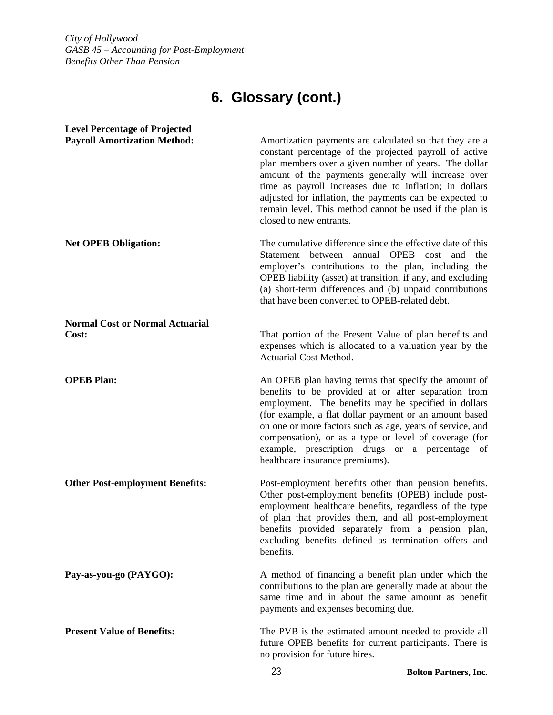# **6. Glossary (cont.)**

| <b>Level Percentage of Projected</b>            |                                                                                                                                                                                                                                                                                                                                                                                                                                              |
|-------------------------------------------------|----------------------------------------------------------------------------------------------------------------------------------------------------------------------------------------------------------------------------------------------------------------------------------------------------------------------------------------------------------------------------------------------------------------------------------------------|
| <b>Payroll Amortization Method:</b>             | Amortization payments are calculated so that they are a<br>constant percentage of the projected payroll of active<br>plan members over a given number of years. The dollar<br>amount of the payments generally will increase over<br>time as payroll increases due to inflation; in dollars<br>adjusted for inflation, the payments can be expected to<br>remain level. This method cannot be used if the plan is<br>closed to new entrants. |
| <b>Net OPEB Obligation:</b>                     | The cumulative difference since the effective date of this<br>Statement between annual OPEB cost and the<br>employer's contributions to the plan, including the<br>OPEB liability (asset) at transition, if any, and excluding<br>(a) short-term differences and (b) unpaid contributions<br>that have been converted to OPEB-related debt.                                                                                                  |
| <b>Normal Cost or Normal Actuarial</b><br>Cost: | That portion of the Present Value of plan benefits and<br>expenses which is allocated to a valuation year by the<br>Actuarial Cost Method.                                                                                                                                                                                                                                                                                                   |
| <b>OPEB Plan:</b>                               | An OPEB plan having terms that specify the amount of<br>benefits to be provided at or after separation from<br>employment. The benefits may be specified in dollars<br>(for example, a flat dollar payment or an amount based<br>on one or more factors such as age, years of service, and<br>compensation), or as a type or level of coverage (for<br>example, prescription drugs or a percentage of<br>healthcare insurance premiums).     |
| <b>Other Post-employment Benefits:</b>          | Post-employment benefits other than pension benefits.<br>Other post-employment benefits (OPEB) include post-<br>employment healthcare benefits, regardless of the type<br>of plan that provides them, and all post-employment<br>benefits provided separately from a pension plan,<br>excluding benefits defined as termination offers and<br>benefits.                                                                                      |
| Pay-as-you-go (PAYGO):                          | A method of financing a benefit plan under which the<br>contributions to the plan are generally made at about the<br>same time and in about the same amount as benefit<br>payments and expenses becoming due.                                                                                                                                                                                                                                |
| <b>Present Value of Benefits:</b>               | The PVB is the estimated amount needed to provide all<br>future OPEB benefits for current participants. There is<br>no provision for future hires.                                                                                                                                                                                                                                                                                           |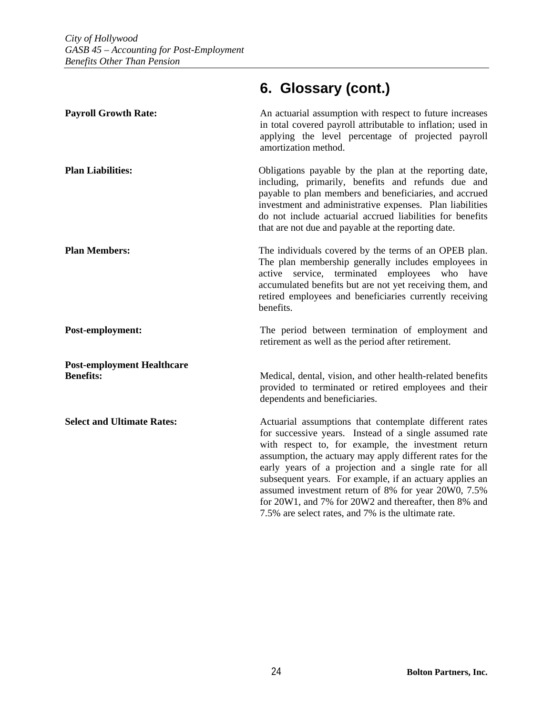### **Payroll Growth Rate: An actuarial assumption with respect to future increases** in total covered payroll attributable to inflation; used in applying the level percentage of projected payroll amortization method. **Plan Liabilities:** Obligations payable by the plan at the reporting date, including, primarily, benefits and refunds due and payable to plan members and beneficiaries, and accrued investment and administrative expenses. Plan liabilities do not include actuarial accrued liabilities for benefits that are not due and payable at the reporting date. **Plan Members:** The individuals covered by the terms of an OPEB plan. The plan membership generally includes employees in active service, terminated employees who have accumulated benefits but are not yet receiving them, and retired employees and beneficiaries currently receiving benefits. **Post-employment:** The period between termination of employment and retirement as well as the period after retirement. **Post-employment Healthcare Benefits:** Medical, dental, vision, and other health-related benefits provided to terminated or retired employees and their dependents and beneficiaries. **Select and Ultimate Rates:** Actuarial assumptions that contemplate different rates for successive years. Instead of a single assumed rate with respect to, for example, the investment return assumption, the actuary may apply different rates for the early years of a projection and a single rate for all subsequent years. For example, if an actuary applies an assumed investment return of 8% for year 20W0, 7.5% for 20W1, and 7% for 20W2 and thereafter, then 8% and 7.5% are select rates, and 7% is the ultimate rate.

## **6. Glossary (cont.)**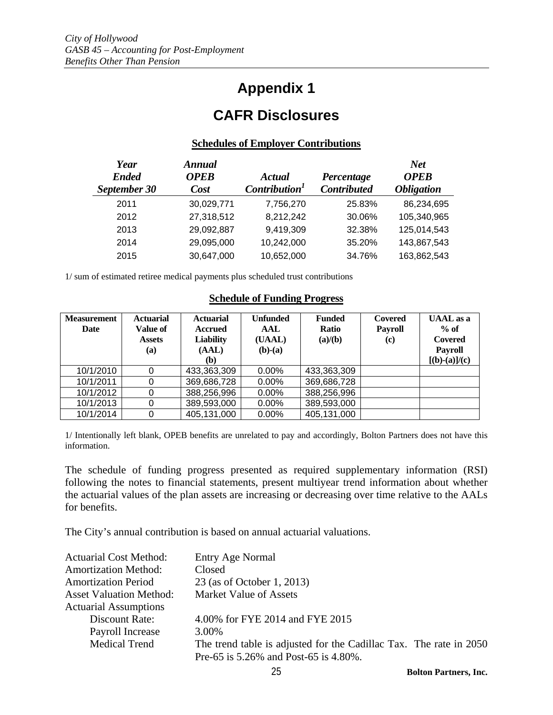## **Appendix 1**

## **CAFR Disclosures**

#### **Schedules of Employer Contributions**

| Year<br><b>Ended</b><br>September 30 | <b>Annual</b><br><b>OPEB</b><br>Cost | Actual<br>Contribution <sup>1</sup> | Percentage<br><b>Contributed</b> | <b>Net</b><br><b>OPEB</b><br><b>Obligation</b> |
|--------------------------------------|--------------------------------------|-------------------------------------|----------------------------------|------------------------------------------------|
| 2011                                 | 30,029,771                           | 7,756,270                           | 25.83%                           | 86,234,695                                     |
| 2012                                 | 27,318,512                           | 8,212,242                           | 30.06%                           | 105,340,965                                    |
| 2013                                 | 29,092,887                           | 9,419,309                           | 32.38%                           | 125,014,543                                    |
| 2014                                 | 29,095,000                           | 10,242,000                          | 35.20%                           | 143,867,543                                    |
| 2015                                 | 30,647,000                           | 10,652,000                          | 34.76%                           | 163,862,543                                    |

1/ sum of estimated retiree medical payments plus scheduled trust contributions

#### **Schedule of Funding Progress**

| <b>Measurement</b> | <b>Actuarial</b> | <b>Actuarial</b> | <b>Unfunded</b> | <b>Funded</b> | <b>Covered</b> | <b>UAAL</b> as a |
|--------------------|------------------|------------------|-----------------|---------------|----------------|------------------|
| Date               | Value of         | Accrued          | AAL             | <b>Ratio</b>  | <b>Payroll</b> | $%$ of           |
|                    | <b>Assets</b>    | <b>Liability</b> | (UAAL)          | (a)/(b)       | (c)            | Covered          |
|                    | (a)              | (AAL)            | $(b)-(a)$       |               |                | <b>Payroll</b>   |
|                    |                  | (b)              |                 |               |                | $[(b)-(a)]/(c)$  |
| 10/1/2010          | 0                | 433,363,309      | $0.00\%$        | 433,363,309   |                |                  |
| 10/1/2011          | 0                | 369,686,728      | 0.00%           | 369,686,728   |                |                  |
| 10/1/2012          | 0                | 388,256,996      | 0.00%           | 388,256,996   |                |                  |
| 10/1/2013          | 0                | 389,593,000      | 0.00%           | 389,593,000   |                |                  |
| 10/1/2014          | 0                | 405,131,000      | 0.00%           | 405,131,000   |                |                  |

1/ Intentionally left blank, OPEB benefits are unrelated to pay and accordingly, Bolton Partners does not have this information.

The schedule of funding progress presented as required supplementary information (RSI) following the notes to financial statements, present multiyear trend information about whether the actuarial values of the plan assets are increasing or decreasing over time relative to the AALs for benefits.

The City's annual contribution is based on annual actuarial valuations.

| <b>Actuarial Cost Method:</b>  | Entry Age Normal                                                   |  |
|--------------------------------|--------------------------------------------------------------------|--|
| <b>Amortization Method:</b>    | Closed                                                             |  |
| <b>Amortization Period</b>     | 23 (as of October 1, 2013)                                         |  |
| <b>Asset Valuation Method:</b> | <b>Market Value of Assets</b>                                      |  |
| <b>Actuarial Assumptions</b>   |                                                                    |  |
| Discount Rate:                 | 4.00% for FYE 2014 and FYE 2015                                    |  |
| Payroll Increase               | 3.00%                                                              |  |
| <b>Medical Trend</b>           | The trend table is adjusted for the Cadillac Tax. The rate in 2050 |  |
|                                | Pre-65 is 5.26% and Post-65 is 4.80%.                              |  |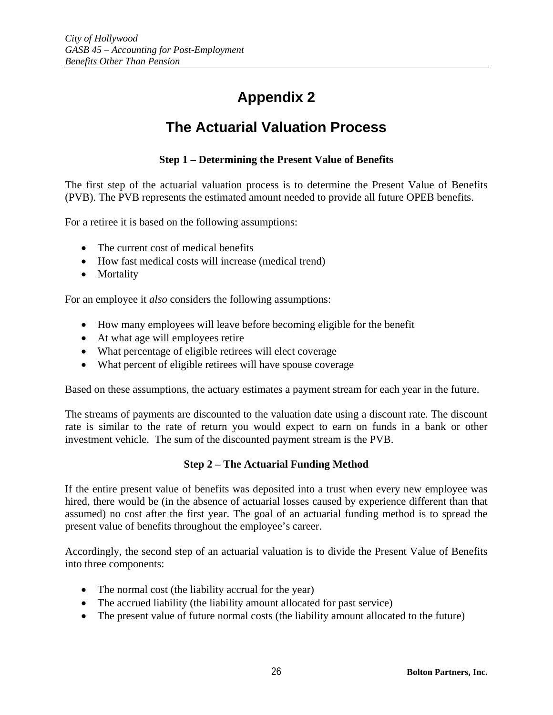# **Appendix 2**

## **The Actuarial Valuation Process**

### **Step 1 – Determining the Present Value of Benefits**

The first step of the actuarial valuation process is to determine the Present Value of Benefits (PVB). The PVB represents the estimated amount needed to provide all future OPEB benefits.

For a retiree it is based on the following assumptions:

- The current cost of medical benefits
- How fast medical costs will increase (medical trend)
- Mortality

For an employee it *also* considers the following assumptions:

- How many employees will leave before becoming eligible for the benefit
- At what age will employees retire
- What percentage of eligible retirees will elect coverage
- What percent of eligible retirees will have spouse coverage

Based on these assumptions, the actuary estimates a payment stream for each year in the future.

The streams of payments are discounted to the valuation date using a discount rate. The discount rate is similar to the rate of return you would expect to earn on funds in a bank or other investment vehicle. The sum of the discounted payment stream is the PVB.

#### **Step 2 – The Actuarial Funding Method**

If the entire present value of benefits was deposited into a trust when every new employee was hired, there would be (in the absence of actuarial losses caused by experience different than that assumed) no cost after the first year. The goal of an actuarial funding method is to spread the present value of benefits throughout the employee's career.

Accordingly, the second step of an actuarial valuation is to divide the Present Value of Benefits into three components:

- The normal cost (the liability accrual for the year)
- The accrued liability (the liability amount allocated for past service)
- The present value of future normal costs (the liability amount allocated to the future)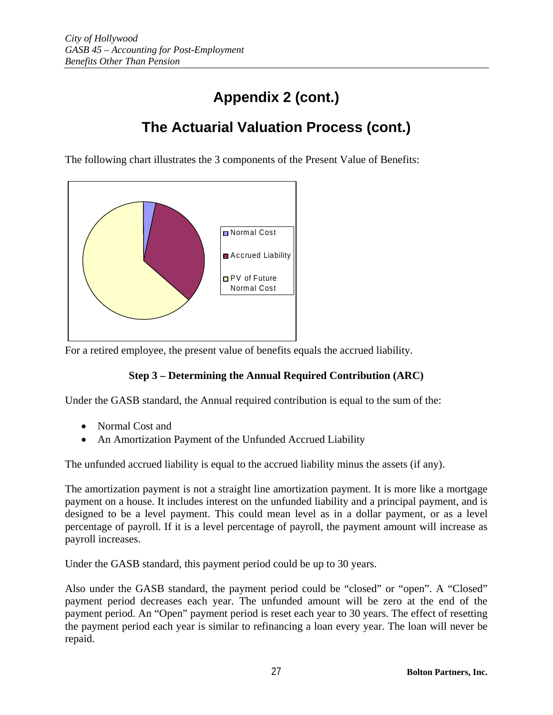# **Appendix 2 (cont.)**

## **The Actuarial Valuation Process (cont.)**

The following chart illustrates the 3 components of the Present Value of Benefits:



For a retired employee, the present value of benefits equals the accrued liability.

### **Step 3 – Determining the Annual Required Contribution (ARC)**

Under the GASB standard, the Annual required contribution is equal to the sum of the:

- Normal Cost and
- An Amortization Payment of the Unfunded Accrued Liability

The unfunded accrued liability is equal to the accrued liability minus the assets (if any).

The amortization payment is not a straight line amortization payment. It is more like a mortgage payment on a house. It includes interest on the unfunded liability and a principal payment, and is designed to be a level payment. This could mean level as in a dollar payment, or as a level percentage of payroll. If it is a level percentage of payroll, the payment amount will increase as payroll increases.

Under the GASB standard, this payment period could be up to 30 years.

Also under the GASB standard, the payment period could be "closed" or "open". A "Closed" payment period decreases each year. The unfunded amount will be zero at the end of the payment period. An "Open" payment period is reset each year to 30 years. The effect of resetting the payment period each year is similar to refinancing a loan every year. The loan will never be repaid.